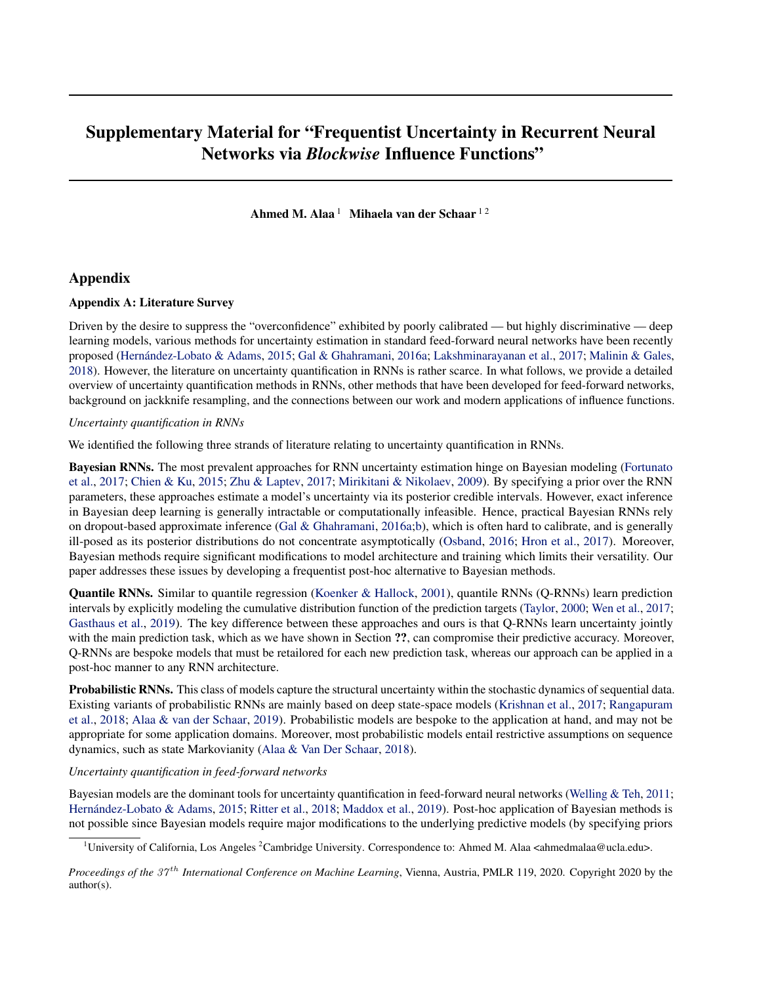# Supplementary Material for "Frequentist Uncertainty in Recurrent Neural Networks via *Blockwise* Influence Functions"

Ahmed M. Alaa<sup>1</sup> Mihaela van der Schaar<sup>12</sup>

# Appendix

## Appendix A: Literature Survey

Driven by the desire to suppress the "overconfidence" exhibited by poorly calibrated — but highly discriminative — deep learning models, various methods for uncertainty estimation in standard feed-forward neural networks have been recently proposed [\(Hernández-Lobato & Adams,](#page-5-0) [2015;](#page-5-0) [Gal & Ghahramani,](#page-5-0) [2016a;](#page-5-0) [Lakshminarayanan et al.,](#page-6-0) [2017;](#page-6-0) [Malinin & Gales,](#page-6-0) [2018\)](#page-6-0). However, the literature on uncertainty quantification in RNNs is rather scarce. In what follows, we provide a detailed overview of uncertainty quantification methods in RNNs, other methods that have been developed for feed-forward networks, background on jackknife resampling, and the connections between our work and modern applications of influence functions.

## *Uncertainty quantification in RNNs*

We identified the following three strands of literature relating to uncertainty quantification in RNNs.

Bayesian RNNs. The most prevalent approaches for RNN uncertainty estimation hinge on Bayesian modeling [\(Fortunato](#page-5-0) [et al.,](#page-5-0) [2017;](#page-5-0) [Chien & Ku,](#page-5-0) [2015;](#page-5-0) [Zhu & Laptev,](#page-6-0) [2017;](#page-6-0) [Mirikitani & Nikolaev,](#page-6-0) [2009\)](#page-6-0). By specifying a prior over the RNN parameters, these approaches estimate a model's uncertainty via its posterior credible intervals. However, exact inference in Bayesian deep learning is generally intractable or computationally infeasible. Hence, practical Bayesian RNNs rely on dropout-based approximate inference [\(Gal & Ghahramani,](#page-5-0) [2016a;b\)](#page-5-0), which is often hard to calibrate, and is generally ill-posed as its posterior distributions do not concentrate asymptotically [\(Osband,](#page-6-0) [2016;](#page-6-0) [Hron et al.,](#page-5-0) [2017\)](#page-5-0). Moreover, Bayesian methods require significant modifications to model architecture and training which limits their versatility. Our paper addresses these issues by developing a frequentist post-hoc alternative to Bayesian methods.

Quantile RNNs. Similar to quantile regression [\(Koenker & Hallock,](#page-5-0) [2001\)](#page-5-0), quantile RNNs (Q-RNNs) learn prediction intervals by explicitly modeling the cumulative distribution function of the prediction targets [\(Taylor,](#page-6-0) [2000;](#page-6-0) [Wen et al.,](#page-6-0) [2017;](#page-6-0) [Gasthaus et al.,](#page-5-0) [2019\)](#page-5-0). The key difference between these approaches and ours is that Q-RNNs learn uncertainty jointly with the main prediction task, which as we have shown in Section ??, can compromise their predictive accuracy. Moreover, Q-RNNs are bespoke models that must be retailored for each new prediction task, whereas our approach can be applied in a post-hoc manner to any RNN architecture.

Probabilistic RNNs. This class of models capture the structural uncertainty within the stochastic dynamics of sequential data. Existing variants of probabilistic RNNs are mainly based on deep state-space models [\(Krishnan et al.,](#page-5-0) [2017;](#page-5-0) [Rangapuram](#page-6-0) [et al.,](#page-6-0) [2018;](#page-6-0) [Alaa & van der Schaar,](#page-5-0) [2019\)](#page-5-0). Probabilistic models are bespoke to the application at hand, and may not be appropriate for some application domains. Moreover, most probabilistic models entail restrictive assumptions on sequence dynamics, such as state Markovianity [\(Alaa & Van Der Schaar,](#page-5-0) [2018\)](#page-5-0).

## *Uncertainty quantification in feed-forward networks*

Bayesian models are the dominant tools for uncertainty quantification in feed-forward neural networks [\(Welling & Teh,](#page-6-0) [2011;](#page-6-0) [Hernández-Lobato & Adams,](#page-5-0) [2015;](#page-5-0) [Ritter et al.,](#page-6-0) [2018;](#page-6-0) [Maddox et al.,](#page-6-0) [2019\)](#page-6-0). Post-hoc application of Bayesian methods is not possible since Bayesian models require major modifications to the underlying predictive models (by specifying priors

<sup>&</sup>lt;sup>1</sup>University of California, Los Angeles <sup>2</sup>Cambridge University. Correspondence to: Ahmed M. Alaa <ahmedmalaa@ucla.edu>.

*Proceedings of the 37<sup>th</sup> International Conference on Machine Learning, Vienna, Austria, PMLR 119, 2020. Copyright 2020 by the* author(s).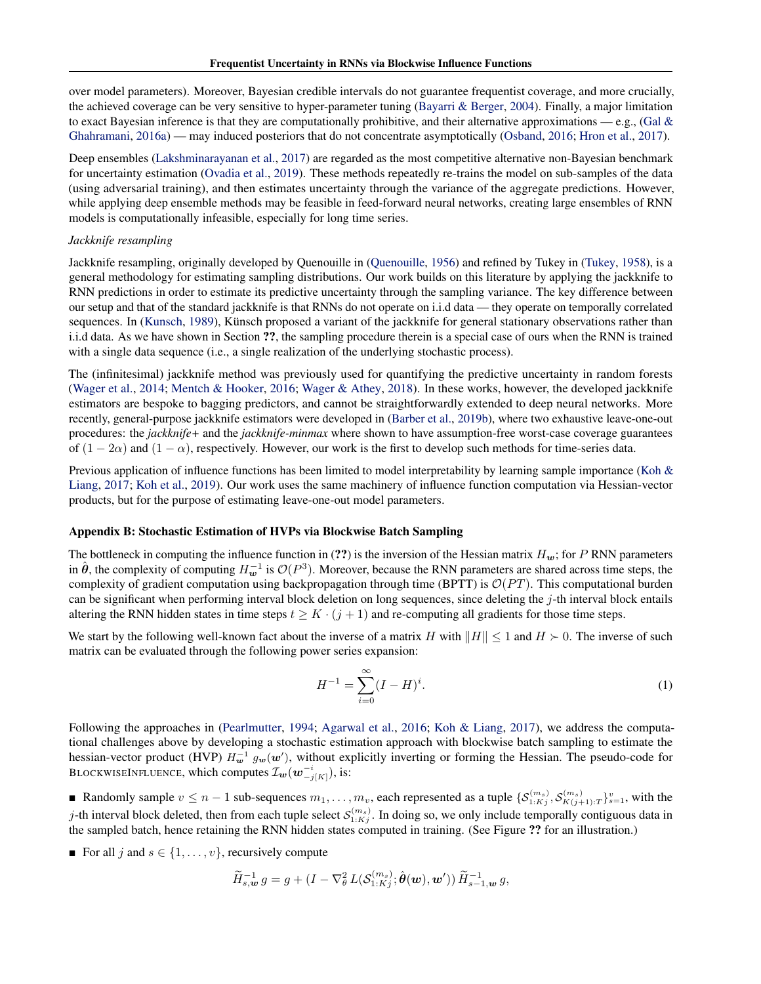over model parameters). Moreover, Bayesian credible intervals do not guarantee frequentist coverage, and more crucially, the achieved coverage can be very sensitive to hyper-parameter tuning [\(Bayarri & Berger,](#page-5-0) [2004\)](#page-5-0). Finally, a major limitation to exact Bayesian inference is that they are computationally prohibitive, and their alternative approximations — e.g., (Gal  $\&$ [Ghahramani,](#page-5-0) [2016a\)](#page-5-0) — may induced posteriors that do not concentrate asymptotically [\(Osband,](#page-6-0) [2016;](#page-6-0) [Hron et al.,](#page-5-0) [2017\)](#page-5-0).

Deep ensembles [\(Lakshminarayanan et al.,](#page-6-0) [2017\)](#page-6-0) are regarded as the most competitive alternative non-Bayesian benchmark for uncertainty estimation [\(Ovadia et al.,](#page-6-0) [2019\)](#page-6-0). These methods repeatedly re-trains the model on sub-samples of the data (using adversarial training), and then estimates uncertainty through the variance of the aggregate predictions. However, while applying deep ensemble methods may be feasible in feed-forward neural networks, creating large ensembles of RNN models is computationally infeasible, especially for long time series.

## *Jackknife resampling*

Jackknife resampling, originally developed by Quenouille in [\(Quenouille,](#page-6-0) [1956\)](#page-6-0) and refined by Tukey in [\(Tukey,](#page-6-0) [1958\)](#page-6-0), is a general methodology for estimating sampling distributions. Our work builds on this literature by applying the jackknife to RNN predictions in order to estimate its predictive uncertainty through the sampling variance. The key difference between our setup and that of the standard jackknife is that RNNs do not operate on i.i.d data — they operate on temporally correlated sequences. In [\(Kunsch,](#page-5-0) [1989\)](#page-5-0), Künsch proposed a variant of the jackknife for general stationary observations rather than i.i.d data. As we have shown in Section ??, the sampling procedure therein is a special case of ours when the RNN is trained with a single data sequence (i.e., a single realization of the underlying stochastic process).

The (infinitesimal) jackknife method was previously used for quantifying the predictive uncertainty in random forests [\(Wager et al.,](#page-6-0) [2014;](#page-6-0) [Mentch & Hooker,](#page-6-0) [2016;](#page-6-0) [Wager & Athey,](#page-6-0) [2018\)](#page-6-0). In these works, however, the developed jackknife estimators are bespoke to bagging predictors, and cannot be straightforwardly extended to deep neural networks. More recently, general-purpose jackknife estimators were developed in [\(Barber et al.,](#page-5-0) [2019b\)](#page-5-0), where two exhaustive leave-one-out procedures: the *jackknife+* and the *jackknife-minmax* where shown to have assumption-free worst-case coverage guarantees of  $(1 - 2\alpha)$  and  $(1 - \alpha)$ , respectively. However, our work is the first to develop such methods for time-series data.

Previous application of influence functions has been limited to model interpretability by learning sample importance [\(Koh &](#page-5-0) [Liang,](#page-5-0) [2017;](#page-5-0) [Koh et al.,](#page-5-0) [2019\)](#page-5-0). Our work uses the same machinery of influence function computation via Hessian-vector products, but for the purpose of estimating leave-one-out model parameters.

## Appendix B: Stochastic Estimation of HVPs via Blockwise Batch Sampling

The bottleneck in computing the influence function in (??) is the inversion of the Hessian matrix  $H_w$ ; for P RNN parameters in  $\hat{\theta}$ , the complexity of computing  $H_w^{-1}$  is  $\mathcal{O}(P^3)$ . Moreover, because the RNN parameters are shared across time steps, the complexity of gradient computation using backpropagation through time (BPTT) is  $\mathcal{O}(PT)$ . This computational burden can be significant when performing interval block deletion on long sequences, since deleting the  $j$ -th interval block entails altering the RNN hidden states in time steps  $t \geq K \cdot (j + 1)$  and re-computing all gradients for those time steps.

We start by the following well-known fact about the inverse of a matrix H with  $||H|| \leq 1$  and  $H \succ 0$ . The inverse of such matrix can be evaluated through the following power series expansion:

$$
H^{-1} = \sum_{i=0}^{\infty} (I - H)^i.
$$
 (1)

Following the approaches in [\(Pearlmutter,](#page-6-0) [1994;](#page-6-0) [Agarwal et al.,](#page-5-0) [2016;](#page-5-0) [Koh & Liang,](#page-5-0) [2017\)](#page-5-0), we address the computational challenges above by developing a stochastic estimation approach with blockwise batch sampling to estimate the hessian-vector product (HVP)  $H_w^{-1}$   $g_w(w')$ , without explicitly inverting or forming the Hessian. The pseudo-code for BLOCKWISEINFLUENCE, which computes  $\mathcal{I}_{\bm{w}}(\bm{w}^{-i}_{-j[K]}),$  is:

■ Randomly sample  $v \le n-1$  sub-sequences  $m_1, \ldots, m_v$ , each represented as a tuple  $\{S_{1:Kj}^{(m_s)}, S_{K(j+1):T}^{(m_s)}\}_{s=1}^v$ , with the j-th interval block deleted, then from each tuple select  $S_{1:Kj}^{(m_s)}$ . In doing so, we only include temporally contiguous data in the sampled batch, hence retaining the RNN hidden states computed in training. (See Figure ?? for an illustration.)

For all j and  $s \in \{1, \ldots, v\}$ , recursively compute

$$
\widetilde{H}_{s,\boldsymbol{w}}^{-1} g = g + (I - \nabla_{\theta}^2 L(\mathcal{S}_{1:Kj}^{(m_s)}; \hat{\boldsymbol{\theta}}(\boldsymbol{w}), \boldsymbol{w}')) \widetilde{H}_{s-1,\boldsymbol{w}}^{-1} g,
$$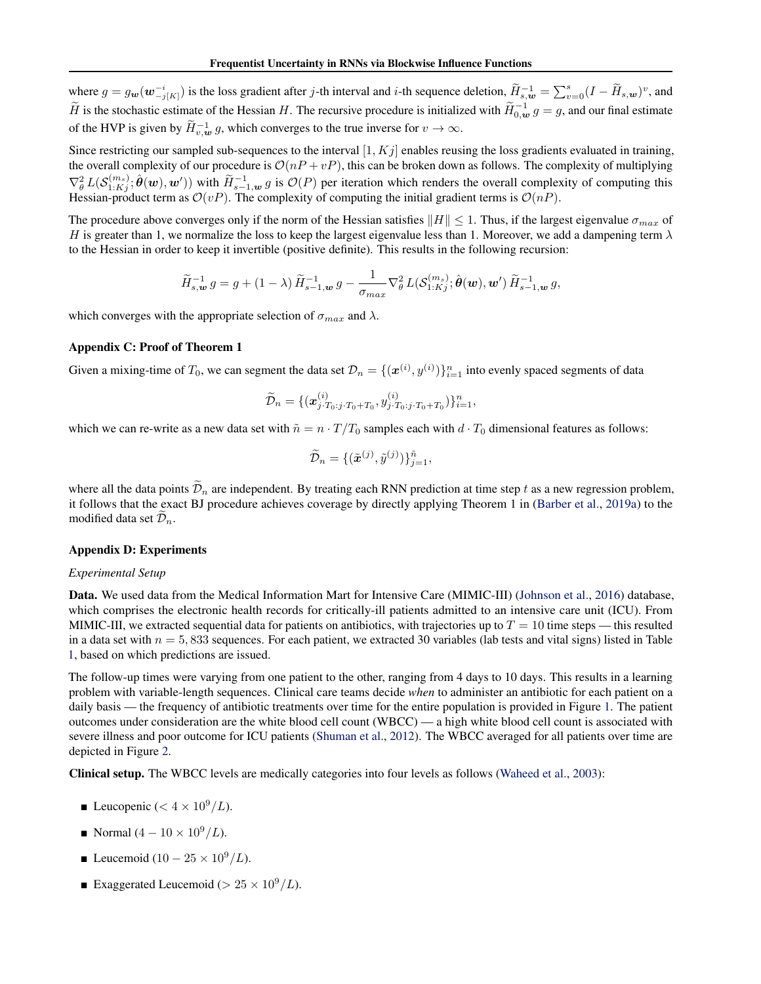where  $g = g_w(w_{-j[K]}^{-i})$  is the loss gradient after j-th interval and i-th sequence deletion,  $\widetilde{H}_{s,w}^{-1} = \sum_{v=0}^{s} (I - \widetilde{H}_{s,w})^v$ , and  $\widetilde{H}$  is the stochastic estimate of the Hessian H. The recursive procedure is initialized with  $\widetilde{H}_{0,\omega}^{-1} g = g$ , and our final estimate of the HVP is given by  $\widetilde{H}_{v,w}^{-1} g$ , which converges to the true inverse for  $v \to \infty$ .

Since restricting our sampled sub-sequences to the interval  $[1, Kj]$  enables reusing the loss gradients evaluated in training, the overall complexity of our procedure is  $\mathcal{O}(nP + vP)$ , this can be broken down as follows. The complexity of multiplying  $\nabla_{\theta}^{2} L(\mathcal{S}_{1:Kj}^{(m_s)}; \hat{\theta}(w), w'))$  with  $\widetilde{H}_{s-1,w}^{-1} g$  is  $\mathcal{O}(P)$  per iteration which renders the overall complexity of computing this Hessian-product term as  $\mathcal{O}(vP)$ . The complexity of computing the initial gradient terms is  $\mathcal{O}(nP)$ .

The procedure above converges only if the norm of the Hessian satisfies  $||H|| \leq 1$ . Thus, if the largest eigenvalue  $\sigma_{max}$  of H is greater than 1, we normalize the loss to keep the largest eigenvalue less than 1. Moreover, we add a dampening term  $\lambda$ to the Hessian in order to keep it invertible (positive definite). This results in the following recursion:

$$
\widetilde{H}_{s,\mathbf{w}}^{-1} g = g + (1 - \lambda) \widetilde{H}_{s-1,\mathbf{w}}^{-1} g - \frac{1}{\sigma_{max}} \nabla_{\theta}^2 L(\mathcal{S}_{1:Kj}^{(m_s)}; \hat{\boldsymbol{\theta}}(\mathbf{w}), \mathbf{w}') \widetilde{H}_{s-1,\mathbf{w}}^{-1} g,
$$

which converges with the appropriate selection of  $\sigma_{max}$  and  $\lambda$ .

#### Appendix C: Proof of Theorem 1

Given a mixing-time of  $T_0$ , we can segment the data set  $\mathcal{D}_n = \{(\mathbf{x}^{(i)}, y^{(i)})\}_{i=1}^n$  into evenly spaced segments of data

$$
\widetilde{\mathcal{D}}_n = \{ (\boldsymbol{x}_{j \cdot T_0:j \cdot T_0 + T_0}^{(i)}, y_{j \cdot T_0:j \cdot T_0 + T_0}^{(i)}) \}_{i=1}^n,
$$

which we can re-write as a new data set with  $\tilde{n} = n \cdot T/T_0$  samples each with  $d \cdot T_0$  dimensional features as follows:

$$
\widetilde{\mathcal{D}}_n = \{(\tilde{\boldsymbol{x}}^{(j)}, \tilde{y}^{(j)})\}_{j=1}^{\tilde{n}},
$$

where all the data points  $\tilde{\mathcal{D}}_n$  are independent. By treating each RNN prediction at time step t as a new regression problem, it follows that the exact BJ procedure achieves coverage by directly applying Theorem 1 in [\(Barber et al.,](#page-5-0) [2019a\)](#page-5-0) to the modified data set  $\mathcal{D}_n$ .

#### Appendix D: Experiments

#### *Experimental Setup*

Data. We used data from the Medical Information Mart for Intensive Care (MIMIC-III) [\(Johnson et al.,](#page-5-0) [2016\)](#page-5-0) database, which comprises the electronic health records for critically-ill patients admitted to an intensive care unit (ICU). From MIMIC-III, we extracted sequential data for patients on antibiotics, with trajectories up to  $T = 10$  time steps — this resulted in a data set with  $n = 5,833$  sequences. For each patient, we extracted 30 variables (lab tests and vital signs) listed in Table [1,](#page-3-0) based on which predictions are issued.

The follow-up times were varying from one patient to the other, ranging from 4 days to 10 days. This results in a learning problem with variable-length sequences. Clinical care teams decide *when* to administer an antibiotic for each patient on a daily basis — the frequency of antibiotic treatments over time for the entire population is provided in Figure [1.](#page-3-0) The patient outcomes under consideration are the white blood cell count (WBCC) — a high white blood cell count is associated with severe illness and poor outcome for ICU patients [\(Shuman et al.,](#page-6-0) [2012\)](#page-6-0). The WBCC averaged for all patients over time are depicted in Figure [2.](#page-4-0)

Clinical setup. The WBCC levels are medically categories into four levels as follows [\(Waheed et al.,](#page-6-0) [2003\)](#page-6-0):

- **Leucopenic** ( $\lt 4 \times 10^9/L$ ).
- Normal  $(4 10 \times 10^9/L)$ .
- **■** Leucemoid  $(10 25 \times 10^9/L)$ .
- Exaggerated Leucemoid ( $> 25 \times 10^9/L$ ).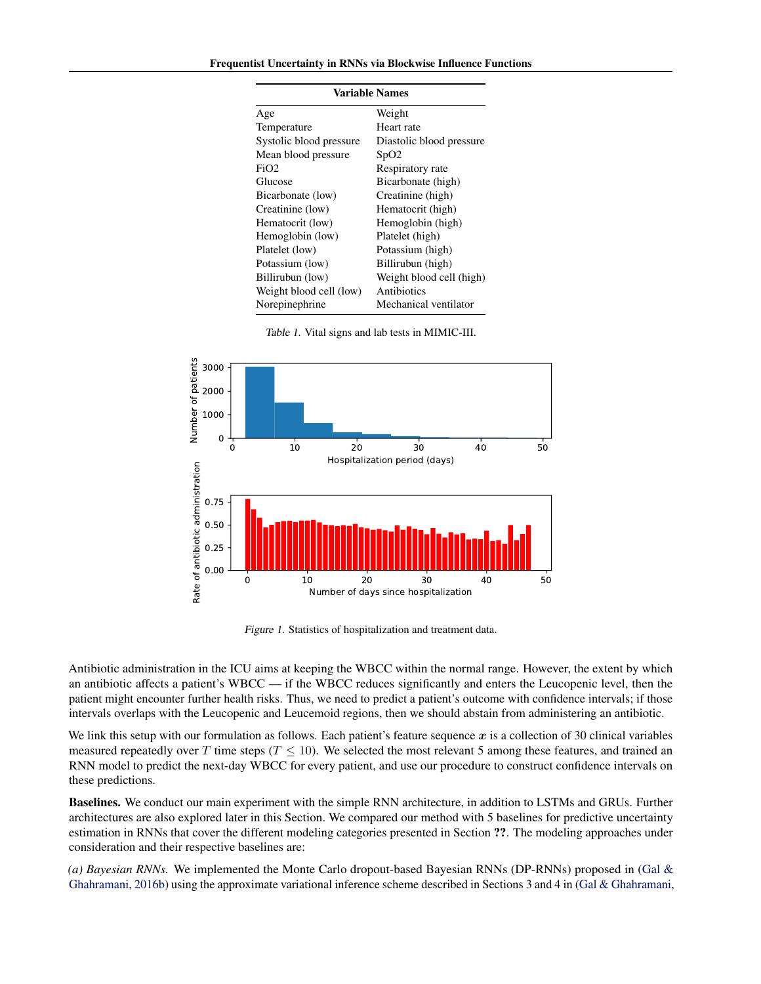<span id="page-3-0"></span>

| Variable Names          |                          |
|-------------------------|--------------------------|
| Age                     | Weight                   |
| Temperature             | Heart rate               |
| Systolic blood pressure | Diastolic blood pressure |
| Mean blood pressure     | SpO2                     |
| FiO2                    | Respiratory rate         |
| Glucose                 | Bicarbonate (high)       |
| Bicarbonate (low)       | Creatinine (high)        |
| Creatinine (low)        | Hematocrit (high)        |
| Hematocrit (low)        | Hemoglobin (high)        |
| Hemoglobin (low)        | Platelet (high)          |
| Platelet (low)          | Potassium (high)         |
| Potassium (low)         | Billirubun (high)        |
| Billirubun (low)        | Weight blood cell (high) |
| Weight blood cell (low) | Antibiotics              |
| Norepinephrine          | Mechanical ventilator    |

Table 1. Vital signs and lab tests in MIMIC-III.



Figure 1. Statistics of hospitalization and treatment data.

Antibiotic administration in the ICU aims at keeping the WBCC within the normal range. However, the extent by which an antibiotic affects a patient's WBCC — if the WBCC reduces significantly and enters the Leucopenic level, then the patient might encounter further health risks. Thus, we need to predict a patient's outcome with confidence intervals; if those intervals overlaps with the Leucopenic and Leucemoid regions, then we should abstain from administering an antibiotic.

We link this setup with our formulation as follows. Each patient's feature sequence  $x$  is a collection of 30 clinical variables measured repeatedly over T time steps ( $T \le 10$ ). We selected the most relevant 5 among these features, and trained an RNN model to predict the next-day WBCC for every patient, and use our procedure to construct confidence intervals on these predictions.

Baselines. We conduct our main experiment with the simple RNN architecture, in addition to LSTMs and GRUs. Further architectures are also explored later in this Section. We compared our method with 5 baselines for predictive uncertainty estimation in RNNs that cover the different modeling categories presented in Section ??. The modeling approaches under consideration and their respective baselines are:

*(a) Bayesian RNNs.* We implemented the Monte Carlo dropout-based Bayesian RNNs (DP-RNNs) proposed in [\(Gal &](#page-5-0) [Ghahramani,](#page-5-0) [2016b\)](#page-5-0) using the approximate variational inference scheme described in Sections 3 and 4 in [\(Gal & Ghahramani,](#page-5-0)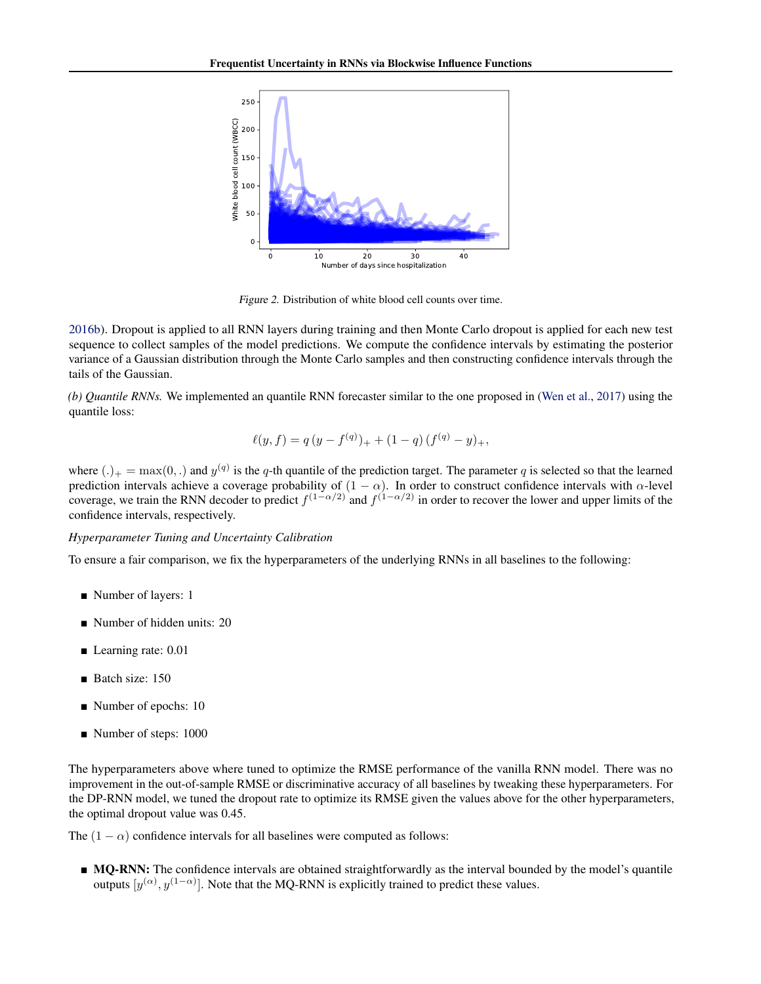<span id="page-4-0"></span>

Figure 2. Distribution of white blood cell counts over time.

[2016b\)](#page-5-0). Dropout is applied to all RNN layers during training and then Monte Carlo dropout is applied for each new test sequence to collect samples of the model predictions. We compute the confidence intervals by estimating the posterior variance of a Gaussian distribution through the Monte Carlo samples and then constructing confidence intervals through the tails of the Gaussian.

*(b) Quantile RNNs.* We implemented an quantile RNN forecaster similar to the one proposed in [\(Wen et al.,](#page-6-0) [2017\)](#page-6-0) using the quantile loss:

$$
\ell(y, f) = q (y - f^{(q)})_{+} + (1 - q) (f^{(q)} - y)_{+},
$$

where  $(.)_+ = \max(0,.)$  and  $y^{(q)}$  is the q-th quantile of the prediction target. The parameter q is selected so that the learned prediction intervals achieve a coverage probability of  $(1 - \alpha)$ . In order to construct confidence intervals with  $\alpha$ -level coverage, we train the RNN decoder to predict  $f^{(1-\alpha/2)}$  and  $f^{(1-\alpha/2)}$  in order to recover the lower and upper limits of the confidence intervals, respectively.

## *Hyperparameter Tuning and Uncertainty Calibration*

To ensure a fair comparison, we fix the hyperparameters of the underlying RNNs in all baselines to the following:

- Number of layers: 1
- Number of hidden units: 20
- Learning rate: 0.01
- Batch size: 150
- Number of epochs: 10
- Number of steps: 1000

The hyperparameters above where tuned to optimize the RMSE performance of the vanilla RNN model. There was no improvement in the out-of-sample RMSE or discriminative accuracy of all baselines by tweaking these hyperparameters. For the DP-RNN model, we tuned the dropout rate to optimize its RMSE given the values above for the other hyperparameters, the optimal dropout value was 0.45.

The  $(1 - \alpha)$  confidence intervals for all baselines were computed as follows:

**MO-RNN:** The confidence intervals are obtained straightforwardly as the interval bounded by the model's quantile outputs  $[y^{(\alpha)}, y^{(1-\alpha)}]$ . Note that the MQ-RNN is explicitly trained to predict these values.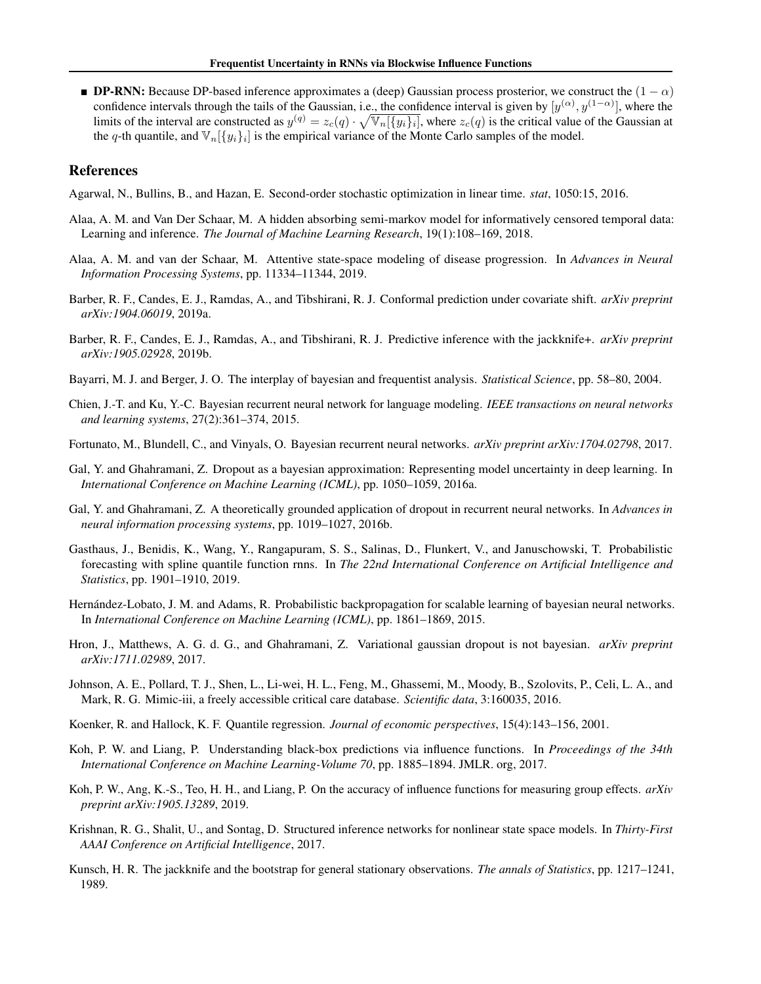<span id="page-5-0"></span>**DP-RNN:** Because DP-based inference approximates a (deep) Gaussian process prosterior, we construct the  $(1 - \alpha)$ confidence intervals through the tails of the Gaussian, i.e., the confidence interval is given by  $[y^{(\alpha)}, y^{(1-\alpha)}]$ , where the limits of the interval are constructed as  $y^{(q)} = z_c(q) \cdot \sqrt{\mathbb{V}_n[\{y_i\}_i]}$ , where  $z_c(q)$  is the critical value of the Gaussian at the q-th quantile, and  $\mathbb{V}_n[\{y_i\}_i]$  is the empirical variance of the Monte Carlo samples of the model.

## References

Agarwal, N., Bullins, B., and Hazan, E. Second-order stochastic optimization in linear time. *stat*, 1050:15, 2016.

- Alaa, A. M. and Van Der Schaar, M. A hidden absorbing semi-markov model for informatively censored temporal data: Learning and inference. *The Journal of Machine Learning Research*, 19(1):108–169, 2018.
- Alaa, A. M. and van der Schaar, M. Attentive state-space modeling of disease progression. In *Advances in Neural Information Processing Systems*, pp. 11334–11344, 2019.
- Barber, R. F., Candes, E. J., Ramdas, A., and Tibshirani, R. J. Conformal prediction under covariate shift. *arXiv preprint arXiv:1904.06019*, 2019a.
- Barber, R. F., Candes, E. J., Ramdas, A., and Tibshirani, R. J. Predictive inference with the jackknife+. *arXiv preprint arXiv:1905.02928*, 2019b.
- Bayarri, M. J. and Berger, J. O. The interplay of bayesian and frequentist analysis. *Statistical Science*, pp. 58–80, 2004.
- Chien, J.-T. and Ku, Y.-C. Bayesian recurrent neural network for language modeling. *IEEE transactions on neural networks and learning systems*, 27(2):361–374, 2015.
- Fortunato, M., Blundell, C., and Vinyals, O. Bayesian recurrent neural networks. *arXiv preprint arXiv:1704.02798*, 2017.
- Gal, Y. and Ghahramani, Z. Dropout as a bayesian approximation: Representing model uncertainty in deep learning. In *International Conference on Machine Learning (ICML)*, pp. 1050–1059, 2016a.
- Gal, Y. and Ghahramani, Z. A theoretically grounded application of dropout in recurrent neural networks. In *Advances in neural information processing systems*, pp. 1019–1027, 2016b.
- Gasthaus, J., Benidis, K., Wang, Y., Rangapuram, S. S., Salinas, D., Flunkert, V., and Januschowski, T. Probabilistic forecasting with spline quantile function rnns. In *The 22nd International Conference on Artificial Intelligence and Statistics*, pp. 1901–1910, 2019.
- Hernández-Lobato, J. M. and Adams, R. Probabilistic backpropagation for scalable learning of bayesian neural networks. In *International Conference on Machine Learning (ICML)*, pp. 1861–1869, 2015.
- Hron, J., Matthews, A. G. d. G., and Ghahramani, Z. Variational gaussian dropout is not bayesian. *arXiv preprint arXiv:1711.02989*, 2017.
- Johnson, A. E., Pollard, T. J., Shen, L., Li-wei, H. L., Feng, M., Ghassemi, M., Moody, B., Szolovits, P., Celi, L. A., and Mark, R. G. Mimic-iii, a freely accessible critical care database. *Scientific data*, 3:160035, 2016.
- Koenker, R. and Hallock, K. F. Quantile regression. *Journal of economic perspectives*, 15(4):143–156, 2001.
- Koh, P. W. and Liang, P. Understanding black-box predictions via influence functions. In *Proceedings of the 34th International Conference on Machine Learning-Volume 70*, pp. 1885–1894. JMLR. org, 2017.
- Koh, P. W., Ang, K.-S., Teo, H. H., and Liang, P. On the accuracy of influence functions for measuring group effects. *arXiv preprint arXiv:1905.13289*, 2019.
- Krishnan, R. G., Shalit, U., and Sontag, D. Structured inference networks for nonlinear state space models. In *Thirty-First AAAI Conference on Artificial Intelligence*, 2017.
- Kunsch, H. R. The jackknife and the bootstrap for general stationary observations. *The annals of Statistics*, pp. 1217–1241, 1989.